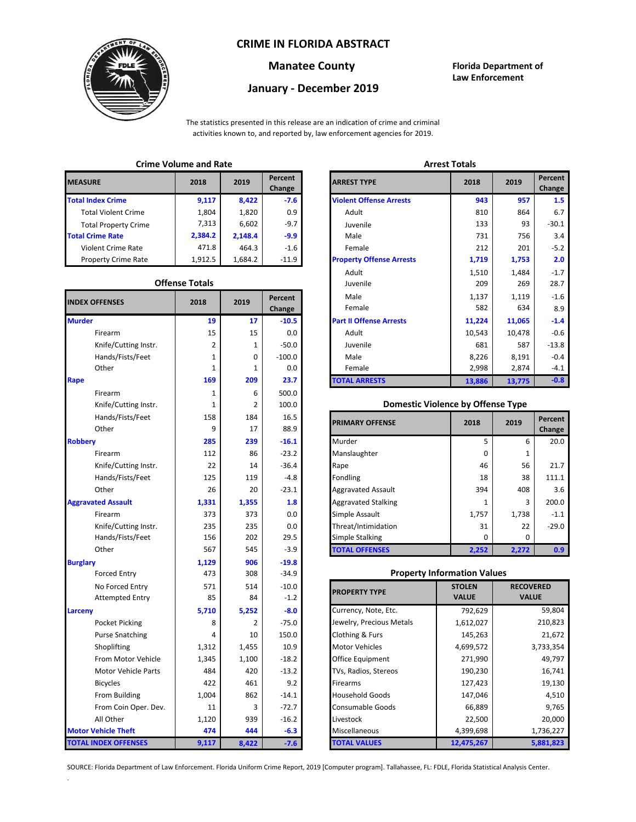## **CRIME IN FLORIDA ABSTRACT**



# **January - December 2019**

**Manatee County Florida Department of Law Enforcement**

The statistics presented in this release are an indication of crime and criminal activities known to, and reported by, law enforcement agencies for 2019.

## **Crime Volume and Rate Arrest Totals**

| <b>MEASURE</b>              | 2018    | 2019    | Percent<br>Change | <b>ARREST TYPE</b>             |
|-----------------------------|---------|---------|-------------------|--------------------------------|
| <b>Total Index Crime</b>    | 9,117   | 8,422   | $-7.6$            | <b>Violent Offense Arrests</b> |
| <b>Total Violent Crime</b>  | 1.804   | 1,820   | 0.9               | Adult                          |
| <b>Total Property Crime</b> | 7.313   | 6,602   | $-9.7$            | Juvenile                       |
| <b>Total Crime Rate</b>     | 2,384.2 | 2.148.4 | $-9.9$            | Male                           |
| <b>Violent Crime Rate</b>   | 471.8   | 464.3   | $-1.6$            | Female                         |
| <b>Property Crime Rate</b>  | 1,912.5 | 1.684.2 | $-11.9$           | <b>Property Offense Arrest</b> |

### **Offense Totals**

| <b>INDEX OFFENSES</b>       | 2018           | 2019         | Percent<br>Change | Male<br>Female                           | 1,137<br>1,119<br>582<br>634 |                  | $-1.6$<br>8.9 |
|-----------------------------|----------------|--------------|-------------------|------------------------------------------|------------------------------|------------------|---------------|
| <b>Murder</b>               | 19             | 17           | $-10.5$           | <b>Part II Offense Arrests</b>           | 11,224                       | 11,065           | $-1.4$        |
| Firearm                     | 15             | 15           | 0.0               | Adult                                    | 10,543                       | 10,478           | $-0.6$        |
| Knife/Cutting Instr.        | $\overline{2}$ | 1            | $-50.0$           | Juvenile                                 | 681                          | 587              | $-13.8$       |
| Hands/Fists/Feet            | 1              | 0            | $-100.0$          | Male                                     | 8,226                        | 8,191            | $-0.4$        |
| Other                       | 1              | $\mathbf{1}$ | 0.0               | Female                                   | 2,998                        | 2,874            | $-4.1$        |
| Rape                        | 169            | 209          | 23.7              | <b>TOTAL ARRESTS</b>                     | 13,886                       | 13,775           | $-0.8$        |
| Firearm                     | 1              | 6            | 500.0             |                                          |                              |                  |               |
| Knife/Cutting Instr.        | 1              | 2            | 100.0             | <b>Domestic Violence by Offense Type</b> |                              |                  |               |
| Hands/Fists/Feet            | 158            | 184          | 16.5              |                                          | 2018                         | 2019             | Percent       |
| Other                       | 9              | 17           | 88.9              | <b>PRIMARY OFFENSE</b>                   |                              |                  | Change        |
| <b>Robberv</b>              | 285            | 239          | $-16.1$           | Murder                                   | 5                            | 6                | 20.0          |
| Firearm                     | 112            | 86           | $-23.2$           | Manslaughter                             | 0                            | $\mathbf{1}$     |               |
| Knife/Cutting Instr.        | 22             | 14           | $-36.4$           | Rape                                     | 46                           | 56               | 21.7          |
| Hands/Fists/Feet            | 125            | 119          | $-4.8$            | Fondling                                 | 18                           | 38               | 111.1         |
| Other                       | 26             | 20           | $-23.1$           | <b>Aggravated Assault</b>                | 394                          | 408              | 3.6           |
| <b>Aggravated Assault</b>   | 1,331          | 1,355        | 1.8               | <b>Aggravated Stalking</b>               | 1                            | 3                | 200.0         |
| Firearm                     | 373            | 373          | 0.0               | Simple Assault                           | 1,757                        | 1,738            | $-1.1$        |
| Knife/Cutting Instr.        | 235            | 235          | 0.0               | Threat/Intimidation                      | 31                           | 22               | $-29.0$       |
| Hands/Fists/Feet            | 156            | 202          | 29.5              | Simple Stalking                          | 0                            | 0                |               |
| Other                       | 567            | 545          | $-3.9$            | <b>TOTAL OFFENSES</b>                    | 2,252                        | 2,272            | 0.9           |
| <b>Burglary</b>             | 1,129          | 906          | $-19.8$           |                                          |                              |                  |               |
| <b>Forced Entry</b>         | 473            | 308          | $-34.9$           | <b>Property Information Values</b>       |                              |                  |               |
| No Forced Entry             | 571            | 514          | $-10.0$           | <b>PROPERTY TYPE</b>                     | <b>STOLEN</b>                | <b>RECOVERED</b> |               |
| <b>Attempted Entry</b>      | 85             | 84           | $-1.2$            |                                          | <b>VALUE</b>                 | <b>VALUE</b>     |               |
| Larceny                     | 5,710          | 5,252        | $-8.0$            | Currency, Note, Etc.                     | 792,629                      |                  | 59,804        |
| Pocket Picking              | 8              | 2            | $-75.0$           | Jewelry, Precious Metals                 | 1,612,027                    |                  | 210,823       |
| <b>Purse Snatching</b>      | 4              | 10           | 150.0             | <b>Clothing &amp; Furs</b>               | 145,263                      |                  | 21,672        |
| Shoplifting                 | 1,312          | 1,455        | 10.9              | <b>Motor Vehicles</b>                    | 4,699,572                    |                  | 3,733,354     |
| From Motor Vehicle          | 1,345          | 1,100        | $-18.2$           | Office Equipment                         | 271,990                      |                  | 49,797        |
| <b>Motor Vehicle Parts</b>  | 484            | 420          | $-13.2$           | TVs, Radios, Stereos                     | 190,230                      |                  | 16,741        |
| <b>Bicycles</b>             | 422            | 461          | 9.2               | Firearms                                 | 127,423                      |                  | 19,130        |
| From Building               | 1,004          | 862          | $-14.1$           | <b>Household Goods</b>                   | 147,046                      | 4,510            |               |
| From Coin Oper. Dev.        | 11             | 3            | $-72.7$           | Consumable Goods                         | 66,889                       | 9,765            |               |
| All Other                   | 1,120          | 939          | $-16.2$           | Livestock                                | 22,500                       |                  | 20,000        |
| <b>Motor Vehicle Theft</b>  | 474            | 444          | $-6.3$            | Miscellaneous                            | 4,399,698                    |                  | 1,736,227     |
| <b>TOTAL INDEX OFFENSES</b> | 9,117          | 8,422        | $-7.6$            | <b>TOTAL VALUES</b>                      | 12,475,267                   |                  | 5,881,823     |

.

| łЕ                   | 2018                  | 2019    | Percent<br>Change | <b>ARREST TYPE</b>              | 2018   | 2019   |  |
|----------------------|-----------------------|---------|-------------------|---------------------------------|--------|--------|--|
| dex Crime            | 9,117                 | 8,422   | $-7.6$            | <b>Violent Offense Arrests</b>  | 943    | 957    |  |
| Il Violent Crime     | 1,804                 | 1,820   | 0.9               | Adult                           | 810    | 864    |  |
| Il Property Crime    | 7,313                 | 6,602   | $-9.7$            | Juvenile                        | 133    | 93     |  |
| me Rate              | 2,384.2               | 2,148.4 | $-9.9$            | Male                            | 731    | 756    |  |
| ent Crime Rate       | 471.8                 | 464.3   | $-1.6$            | Female                          | 212    | 201    |  |
| erty Crime Rate      | 1,912.5               | 1,684.2 | $-11.9$           | <b>Property Offense Arrests</b> | 1,719  | 1,753  |  |
|                      |                       |         |                   | Adult                           | 1,510  | 1,484  |  |
|                      | <b>Offense Totals</b> |         |                   | Juvenile                        | 209    | 269    |  |
| <b>FFENSES</b>       | 2018                  | 2019    | Percent           | Male                            | 1,137  | 1,119  |  |
|                      |                       |         | Change            | Female                          | 582    | 634    |  |
|                      | 19                    | 17      | $-10.5$           | <b>Part II Offense Arrests</b>  | 11,224 | 11,065 |  |
| Firearm              | 15                    | 15      | 0.0               | Adult                           | 10,543 | 10,478 |  |
| Knife/Cutting Instr. | $\overline{2}$        | 1       | $-50.0$           | Juvenile                        | 681    | 587    |  |
| Hands/Fists/Feet     | 1                     | 0       | $-100.0$          | Male                            | 8,226  | 8,191  |  |
| Other                | 1                     | 1       | 0.0               | Female                          | 2,998  | 2,874  |  |
|                      | 169                   | 209     | 23.7              | <b>TOTAL ARRESTS</b>            | 13,886 | 13,775 |  |
|                      |                       |         | --- -             |                                 |        |        |  |

## 1 **Domestic Violence by Offense Type**

| Hands/Fists/Feet<br>Other | 158<br>9 | 184<br>17 | 16.5<br>88.9 | <b>PRIMARY OFFENSE</b>     | 2018         | 2019  | Percent<br>Change |
|---------------------------|----------|-----------|--------------|----------------------------|--------------|-------|-------------------|
|                           | 285      | 239       | $-16.1$      | Murder                     |              | 6     | 20.0              |
| Firearm                   | 112      | 86        | $-23.2$      | Manslaughter               | O            |       |                   |
| Knife/Cutting Instr.      | 22       | 14        | $-36.4$      | Rape                       | 46           | 56    | 21.7              |
| Hands/Fists/Feet          | 125      | 119       | $-4.8$       | Fondling                   | 18           | 38    | 111.1             |
| Other                     | 26       | 20        | $-23.1$      | <b>Aggravated Assault</b>  | 394          | 408   | 3.6               |
| ted Assault               | 1,331    | 1,355     | 1.8          | <b>Aggravated Stalking</b> |              | 3     | 200.0             |
| Firearm                   | 373      | 373       | 0.0          | Simple Assault             | 1,757        | 1,738 | $-1.1$            |
| Knife/Cutting Instr.      | 235      | 235       | 0.0          | Threat/Intimidation        | 31           | 22    | $-29.0$           |
| Hands/Fists/Feet          | 156      | 202       | 29.5         | Simple Stalking            | <sup>0</sup> | 0     |                   |
| Other                     | 567      | 545       | $-3.9$       | <b>TOTAL OFFENSES</b>      | 2,252        | 2,272 | 0.9 <sub>2</sub>  |

## **Property Information Values**

| 571   | 514   | $-10.0$ | <b>PROPERTY TYPE</b>     | <b>STOLEN</b> | <b>RECOVERED</b> |
|-------|-------|---------|--------------------------|---------------|------------------|
| 85    | 84    | $-1.2$  |                          | <b>VALUE</b>  | <b>VALUE</b>     |
| 5,710 | 5,252 | $-8.0$  | Currency, Note, Etc.     | 792,629       | 59,804           |
| 8     |       | $-75.0$ | Jewelry, Precious Metals | 1,612,027     | 210,823          |
| 4     | 10    | 150.0   | Clothing & Furs          | 145,263       | 21,672           |
| 1,312 | 1,455 | 10.9    | <b>Motor Vehicles</b>    | 4,699,572     | 3,733,354        |
| 1,345 | 1,100 | $-18.2$ | Office Equipment         | 271,990       | 49,797           |
| 484   | 420   | $-13.2$ | TVs, Radios, Stereos     | 190,230       | 16,741           |
| 422   | 461   | 9.2     | <b>Firearms</b>          | 127,423       | 19,130           |
| 1,004 | 862   | $-14.1$ | <b>Household Goods</b>   | 147,046       | 4,510            |
| 11    | 3     | $-72.7$ | <b>Consumable Goods</b>  | 66,889        | 9,765            |
| 1,120 | 939   | $-16.2$ | Livestock                | 22,500        | 20,000           |
| 474   | 444   | $-6.3$  | Miscellaneous            | 4,399,698     | 1,736,227        |
| 9,117 | 8,422 | $-7.6$  | <b>TOTAL VALUES</b>      | 12,475,267    | 5,881,823        |

SOURCE: Florida Department of Law Enforcement. Florida Uniform Crime Report, 2019 [Computer program]. Tallahassee, FL: FDLE, Florida Statistical Analysis Center.